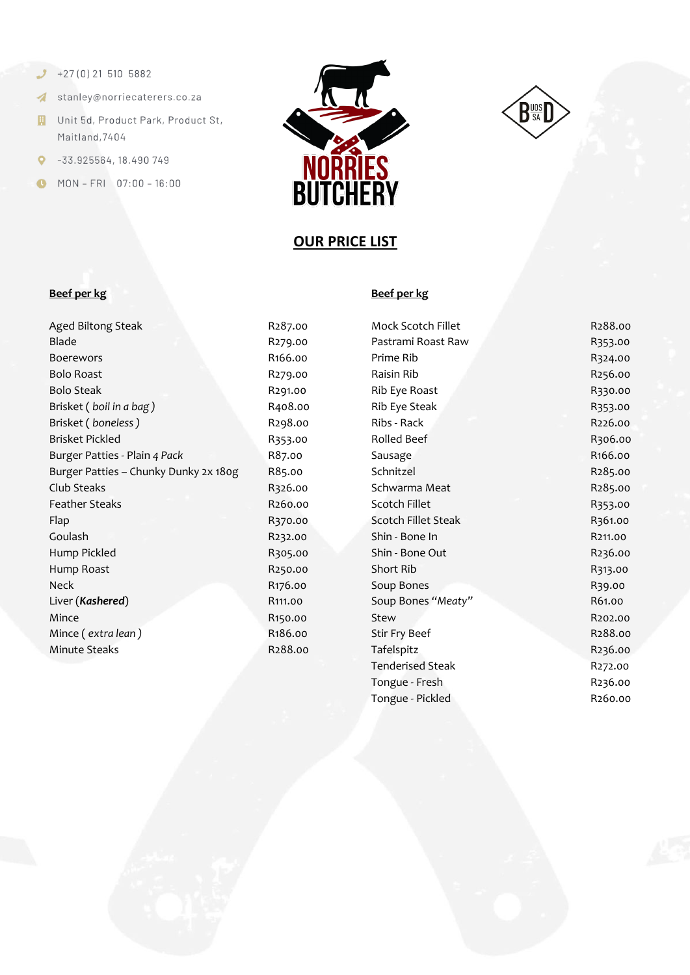- $+27(0)215105882$
- stanley@norriecaterers.co.za
- **H** Unit 5d, Product Park, Product St, Maitland, 7404
- $\bullet$  -33.925564, 18.490 749
- MON-FRI 07:00-16:00





# **OUR PRICE LIST**

### **Beef per kg Beef per kg**

| Aged Biltong Steak                    |
|---------------------------------------|
| Blade                                 |
| <b>Boerewors</b>                      |
| <b>Bolo Roast</b>                     |
| <b>Bolo Steak</b>                     |
| Brisket (boil in a bag)               |
| Brisket (boneless)                    |
| <b>Brisket Pickled</b>                |
| Burger Patties - Plain 4 Pack         |
| Burger Patties - Chunky Dunky 2x 180g |
| Club Steaks                           |
| <b>Feather Steaks</b>                 |
| Flap                                  |
| Goulash                               |
| Hump Pickled                          |
| Hump Roast                            |
| Neck                                  |
| Liver (Kashered)                      |
| Mince                                 |
| Mince (extra lean)                    |
| <b>Minute Steaks</b>                  |
|                                       |

| 1207.00              |
|----------------------|
| <mark>?279.00</mark> |
| R166.00              |
| <mark>?279.00</mark> |
| <mark>?291.00</mark> |
| 8408.00              |
| <mark>?298.00</mark> |
| 3353.00              |
| 87.00                |
| 885.00               |
| 3326.00              |
| R260.00              |
| 370.00               |
| R232.00              |
| 3305.00              |
| R250.00              |
| 3176.00              |
| 3111.00              |
| 3150.00              |
| 3186.00              |
| R288.00              |
|                      |

| Aged Biltong Steak                    | R <sub>2</sub> 87.00 | Mock Scotch Fillet      | R288.00 |
|---------------------------------------|----------------------|-------------------------|---------|
| Blade                                 | R279.00              | Pastrami Roast Raw      | R353.00 |
| <b>Boerewors</b>                      | R166.00              | Prime Rib               | R324.00 |
| <b>Bolo Roast</b>                     | R <sub>279</sub> .00 | Raisin Rib              | R256.00 |
| <b>Bolo Steak</b>                     | R291.00              | Rib Eye Roast           | R330.00 |
| Brisket (boil in a bag)               | R408.00              | Rib Eye Steak           | R353.00 |
| Brisket (boneless)                    | R298.00              | Ribs - Rack             | R226.00 |
| Brisket Pickled                       | R353.00              | Rolled Beef             | R306.00 |
| Burger Patties - Plain 4 Pack         | R87.00               | Sausage                 | R166.00 |
| Burger Patties - Chunky Dunky 2x 180g | R85.00               | Schnitzel               | R285.00 |
| Club Steaks                           | R326.00              | Schwarma Meat           | R285.00 |
| <b>Feather Steaks</b>                 | R260.00              | Scotch Fillet           | R353.00 |
| Flap                                  | R370.00              | Scotch Fillet Steak     | R361.00 |
| Goulash                               | R232.00              | Shin - Bone In          | R211.00 |
| Hump Pickled                          | R305.00              | Shin - Bone Out         | R236.00 |
| Hump Roast                            | R250.00              | Short Rib               | R313.00 |
| Neck                                  | R176.00              | Soup Bones              | R39.00  |
| Liver (Kashered)                      | R <sub>111</sub> .00 | Soup Bones "Meaty"      | R61.00  |
| Mince                                 | R <sub>150.00</sub>  | Stew                    | R202.00 |
| Mince (extra lean)                    | R <sub>1</sub> 86.00 | Stir Fry Beef           | R288.00 |
| <b>Minute Steaks</b>                  | R288.00              | Tafelspitz              | R236.00 |
|                                       |                      | <b>Tenderised Steak</b> | R272.00 |
|                                       |                      | Tongue - Fresh          | R236.00 |
|                                       |                      | Tongue - Pickled        | R260.00 |
|                                       |                      |                         |         |